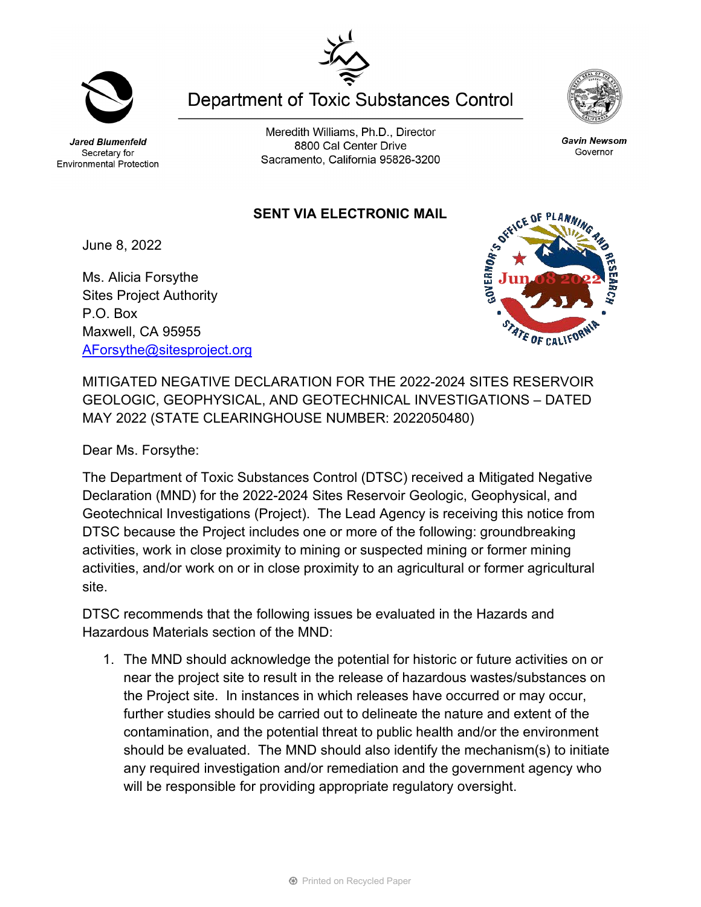Jared Blumenfeld Secretary for **Environmental Protection** 

Meredith Williams, Ph.D., Director 8800 Cal Center Drive Sacramento, California 95826-3200

**Department of Toxic Substances Control** 

## **SENT VIA ELECTRONIC MAIL**

June 8, 2022

Ms. Alicia Forsythe Sites Project Authority P.O. Box Maxwell, CA 95955 [AForsythe@sitesproject.org](mailto:AForsythe@sitesproject.org)

MITIGATED NEGATIVE DECLARATION FOR THE 2022-2024 SITES RESERVOIR GEOLOGIC, GEOPHYSICAL, AND GEOTECHNICAL INVESTIGATIONS – DATED MAY 2022 (STATE CLEARINGHOUSE NUMBER: 2022050480)

Dear Ms. Forsythe:

The Department of Toxic Substances Control (DTSC) received a Mitigated Negative Declaration (MND) for the 2022-2024 Sites Reservoir Geologic, Geophysical, and Geotechnical Investigations (Project). The Lead Agency is receiving this notice from DTSC because the Project includes one or more of the following: groundbreaking activities, work in close proximity to mining or suspected mining or former mining activities, and/or work on or in close proximity to an agricultural or former agricultural site.

DTSC recommends that the following issues be evaluated in the Hazards and Hazardous Materials section of the MND:

1. The MND should acknowledge the potential for historic or future activities on or near the project site to result in the release of hazardous wastes/substances on the Project site. In instances in which releases have occurred or may occur, further studies should be carried out to delineate the nature and extent of the contamination, and the potential threat to public health and/or the environment should be evaluated. The MND should also identify the mechanism(s) to initiate any required investigation and/or remediation and the government agency who will be responsible for providing appropriate regulatory oversight.









Gavin Newsom

Governor